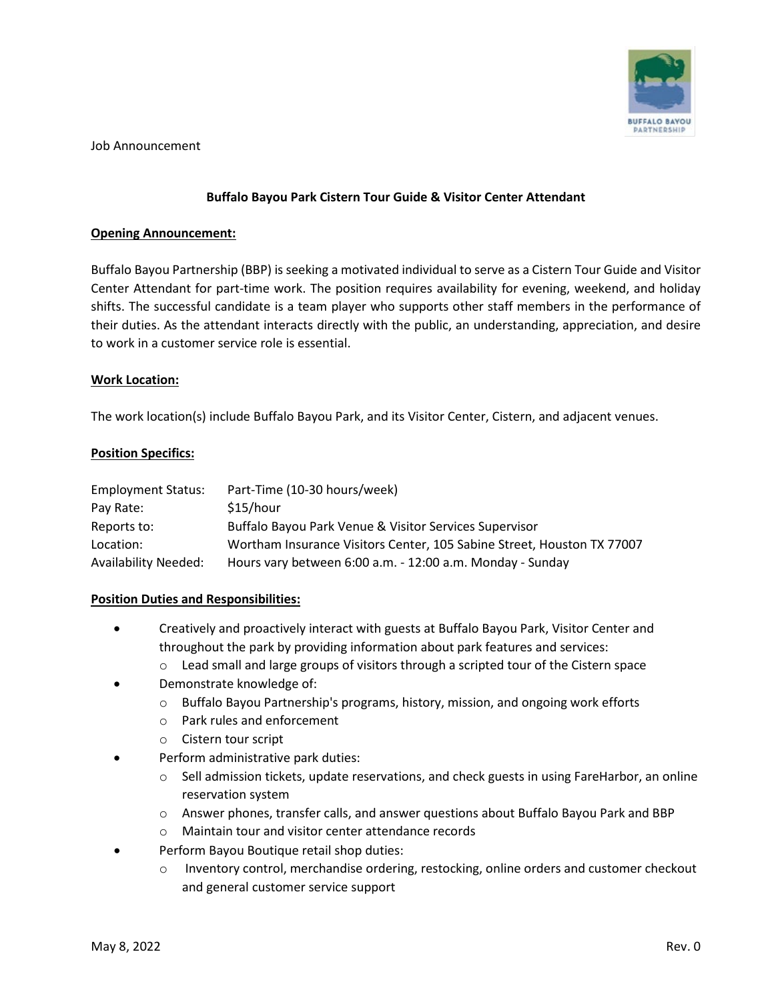

Job Announcement

# **Buffalo Bayou Park Cistern Tour Guide & Visitor Center Attendant**

## **Opening Announcement:**

Buffalo Bayou Partnership (BBP) is seeking a motivated individual to serve as a Cistern Tour Guide and Visitor Center Attendant for part-time work. The position requires availability for evening, weekend, and holiday shifts. The successful candidate is a team player who supports other staff members in the performance of their duties. As the attendant interacts directly with the public, an understanding, appreciation, and desire to work in a customer service role is essential.

### **Work Location:**

The work location(s) include Buffalo Bayou Park, and its Visitor Center, Cistern, and adjacent venues.

### **Position Specifics:**

| <b>Employment Status:</b> | Part-Time (10-30 hours/week)                                           |
|---------------------------|------------------------------------------------------------------------|
| Pay Rate:                 | \$15/hour                                                              |
| Reports to:               | Buffalo Bayou Park Venue & Visitor Services Supervisor                 |
| Location:                 | Wortham Insurance Visitors Center, 105 Sabine Street, Houston TX 77007 |
| Availability Needed:      | Hours vary between 6:00 a.m. - 12:00 a.m. Monday - Sunday              |

#### **Position Duties and Responsibilities:**

- Creatively and proactively interact with guests at Buffalo Bayou Park, Visitor Center and throughout the park by providing information about park features and services:
	- $\circ$  Lead small and large groups of visitors through a scripted tour of the Cistern space
- Demonstrate knowledge of:
	- $\circ$  Buffalo Bayou Partnership's programs, history, mission, and ongoing work efforts
	- o Park rules and enforcement
	- o Cistern tour script
- Perform administrative park duties:
	- $\circ$  Sell admission tickets, update reservations, and check guests in using FareHarbor, an online reservation system
	- o Answer phones, transfer calls, and answer questions about Buffalo Bayou Park and BBP
	- o Maintain tour and visitor center attendance records
- Perform Bayou Boutique retail shop duties:
	- o Inventory control, merchandise ordering, restocking, online orders and customer checkout and general customer service support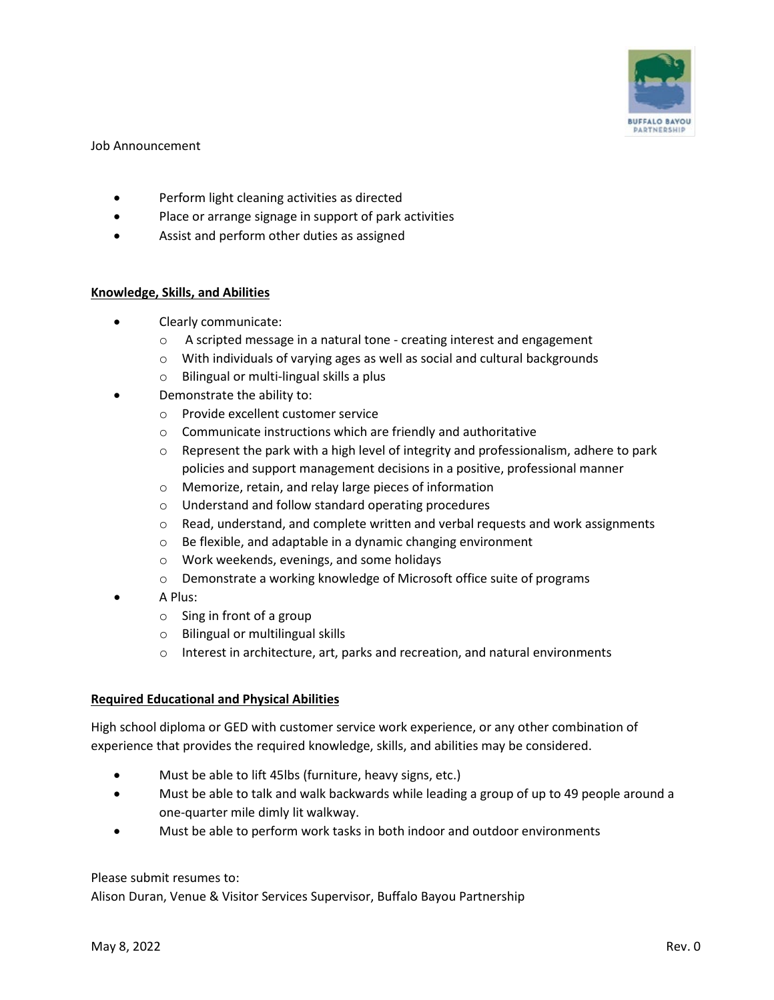

## Job Announcement

- Perform light cleaning activities as directed
- Place or arrange signage in support of park activities
- Assist and perform other duties as assigned

### **Knowledge, Skills, and Abilities**

- Clearly communicate:
	- o A scripted message in a natural tone creating interest and engagement
	- o With individuals of varying ages as well as social and cultural backgrounds
	- o Bilingual or multi-lingual skills a plus
- Demonstrate the ability to:
	- o Provide excellent customer service
	- o Communicate instructions which are friendly and authoritative
	- $\circ$  Represent the park with a high level of integrity and professionalism, adhere to park policies and support management decisions in a positive, professional manner
	- o Memorize, retain, and relay large pieces of information
	- o Understand and follow standard operating procedures
	- $\circ$  Read, understand, and complete written and verbal requests and work assignments
	- o Be flexible, and adaptable in a dynamic changing environment
	- o Work weekends, evenings, and some holidays
	- o Demonstrate a working knowledge of Microsoft office suite of programs
- A Plus:
	- o Sing in front of a group
	- o Bilingual or multilingual skills
	- o Interest in architecture, art, parks and recreation, and natural environments

# **Required Educational and Physical Abilities**

High school diploma or GED with customer service work experience, or any other combination of experience that provides the required knowledge, skills, and abilities may be considered.

- Must be able to lift 45lbs (furniture, heavy signs, etc.)
- Must be able to talk and walk backwards while leading a group of up to 49 people around a one-quarter mile dimly lit walkway.
- Must be able to perform work tasks in both indoor and outdoor environments

# Please submit resumes to:

Alison Duran, Venue & Visitor Services Supervisor, Buffalo Bayou Partnership